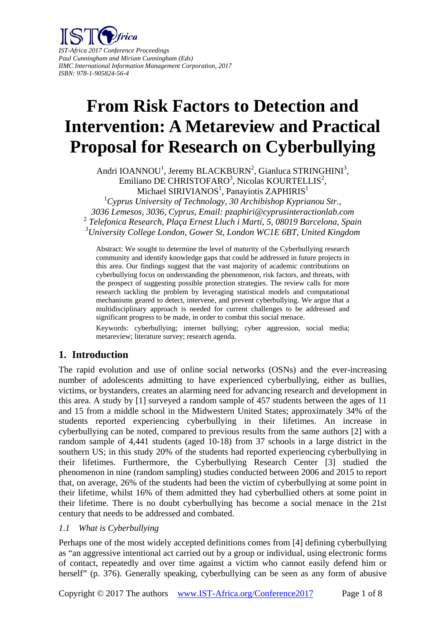

# **From Risk Factors to Detection and Intervention: A Metareview and Practical Proposal for Research on Cyberbullying**

Andri IOANNOU<sup>1</sup>, Jeremy BLACKBURN<sup>2</sup>, Gianluca STRINGHINI<sup>3</sup>, Emiliano DE CHRISTOFARO<sup>3</sup>, Nicolas KOURTELLIS<sup>2</sup>, Michael SIRIVIANOS<sup>1</sup>, Panayiotis ZAPHIRIS<sup>1</sup>

 *Cyprus University of Technology, 30 Archibishop Kyprianou Str., 3036 Lemesos, 3036, Cyprus, Email: pzaphiri@cyprusinteractionlab.com Telefonica Research, Plaça Ernest Lluch i Martí, 5, 08019 Barcelona, Spain University College London, Gower St, London WC1E 6BT, United Kingdom* 

Abstract: We sought to determine the level of maturity of the Cyberbullying research community and identify knowledge gaps that could be addressed in future projects in this area. Our findings suggest that the vast majority of academic contributions on cyberbullying focus on understanding the phenomenon, risk factors, and threats, with the prospect of suggesting possible protection strategies. The review calls for more research tackling the problem by leveraging statistical models and computational mechanisms geared to detect, intervene, and prevent cyberbullying. We argue that a multidisciplinary approach is needed for current challenges to be addressed and significant progress to be made, in order to combat this social menace.

Keywords: cyberbullying; internet bullying; cyber aggression, social media; metareview; literature survey; research agenda.

# **1. Introduction**

The rapid evolution and use of online social networks (OSNs) and the ever-increasing number of adolescents admitting to have experienced cyberbullying, either as bullies, victims, or bystanders, creates an alarming need for advancing research and development in this area. A study by [1] surveyed a random sample of 457 students between the ages of 11 and 15 from a middle school in the Midwestern United States; approximately 34% of the students reported experiencing cyberbullying in their lifetimes. An increase in cyberbullying can be noted, compared to previous results from the same authors [2] with a random sample of 4,441 students (aged 10-18) from 37 schools in a large district in the southern US; in this study 20% of the students had reported experiencing cyberbullying in their lifetimes. Furthermore, the Cyberbullying Research Center [3] studied the phenomenon in nine (random sampling) studies conducted between 2006 and 2015 to report that, on average, 26% of the students had been the victim of cyberbullying at some point in their lifetime, whilst 16% of them admitted they had cyberbullied others at some point in their lifetime. There is no doubt cyberbullying has become a social menace in the 21st century that needs to be addressed and combated.

#### *1.1 What is Cyberbullying*

Perhaps one of the most widely accepted definitions comes from [4] defining cyberbullying as "an aggressive intentional act carried out by a group or individual, using electronic forms of contact, repeatedly and over time against a victim who cannot easily defend him or herself" (p. 376). Generally speaking, cyberbullying can be seen as any form of abusive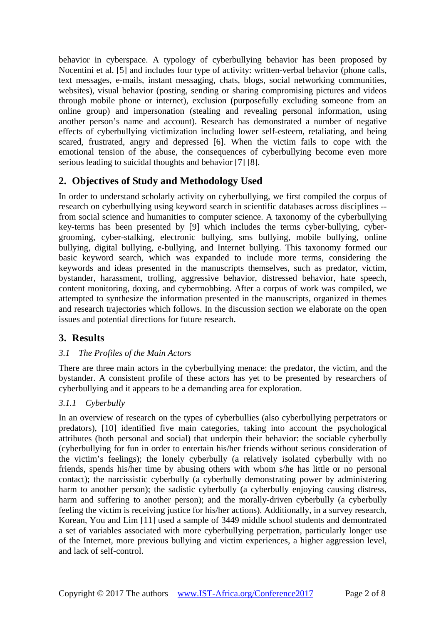behavior in cyberspace. A typology of cyberbullying behavior has been proposed by Nocentini et al. [5] and includes four type of activity: written-verbal behavior (phone calls, text messages, e-mails, instant messaging, chats, blogs, social networking communities, websites), visual behavior (posting, sending or sharing compromising pictures and videos through mobile phone or internet), exclusion (purposefully excluding someone from an online group) and impersonation (stealing and revealing personal information, using another person's name and account). Research has demonstrated a number of negative effects of cyberbullying victimization including lower self-esteem, retaliating, and being scared, frustrated, angry and depressed [6]. When the victim fails to cope with the emotional tension of the abuse, the consequences of cyberbullying become even more serious leading to suicidal thoughts and behavior [7] [8].

# **2. Objectives of Study and Methodology Used**

In order to understand scholarly activity on cyberbullying, we first compiled the corpus of research on cyberbullying using keyword search in scientific databases across disciplines - from social science and humanities to computer science. A taxonomy of the cyberbullying key-terms has been presented by [9] which includes the terms cyber-bullying, cybergrooming, cyber-stalking, electronic bullying, sms bullying, mobile bullying, online bullying, digital bullying, e-bullying, and Internet bullying. This taxonomy formed our basic keyword search, which was expanded to include more terms, considering the keywords and ideas presented in the manuscripts themselves, such as predator, victim, bystander, harassment, trolling, aggressive behavior, distressed behavior, hate speech, content monitoring, doxing, and cybermobbing. After a corpus of work was compiled, we attempted to synthesize the information presented in the manuscripts, organized in themes and research trajectories which follows. In the discussion section we elaborate on the open issues and potential directions for future research.

# **3. Results**

## *3.1 The Profiles of the Main Actors*

There are three main actors in the cyberbullying menace: the predator, the victim, and the bystander. A consistent profile of these actors has yet to be presented by researchers of cyberbullying and it appears to be a demanding area for exploration.

#### *3.1.1 Cyberbully*

In an overview of research on the types of cyberbullies (also cyberbullying perpetrators or predators), [10] identified five main categories, taking into account the psychological attributes (both personal and social) that underpin their behavior: the sociable cyberbully (cyberbullying for fun in order to entertain his/her friends without serious consideration of the victim's feelings); the lonely cyberbully (a relatively isolated cyberbully with no friends, spends his/her time by abusing others with whom s/he has little or no personal contact); the narcissistic cyberbully (a cyberbully demonstrating power by administering harm to another person); the sadistic cyberbully (a cyberbully enjoying causing distress, harm and suffering to another person); and the morally-driven cyberbully (a cyberbully feeling the victim is receiving justice for his/her actions). Additionally, in a survey research, Korean, You and Lim [11] used a sample of 3449 middle school students and demontrated a set of variables associated with more cyberbullying perpetration, particularly longer use of the Internet, more previous bullying and victim experiences, a higher aggression level, and lack of self-control.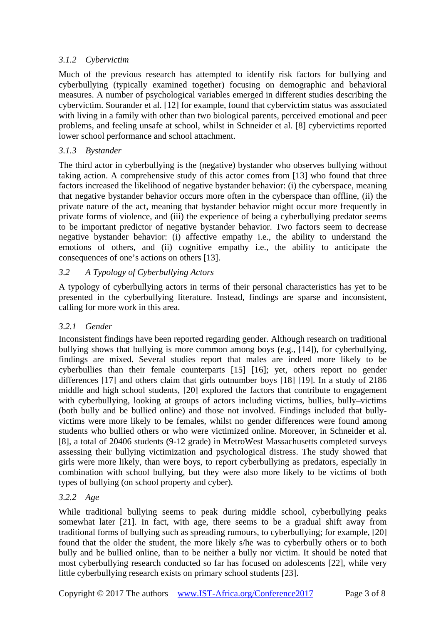## *3.1.2 Cybervictim*

Much of the previous research has attempted to identify risk factors for bullying and cyberbullying (typically examined together) focusing on demographic and behavioral measures. A number of psychological variables emerged in different studies describing the cybervictim. Sourander et al. [12] for example, found that cybervictim status was associated with living in a family with other than two biological parents, perceived emotional and peer problems, and feeling unsafe at school, whilst in Schneider et al. [8] cybervictims reported lower school performance and school attachment.

## *3.1.3 Bystander*

The third actor in cyberbullying is the (negative) bystander who observes bullying without taking action. A comprehensive study of this actor comes from [13] who found that three factors increased the likelihood of negative bystander behavior: (i) the cyberspace, meaning that negative bystander behavior occurs more often in the cyberspace than offline, (ii) the private nature of the act, meaning that bystander behavior might occur more frequently in private forms of violence, and (iii) the experience of being a cyberbullying predator seems to be important predictor of negative bystander behavior. Two factors seem to decrease negative bystander behavior: (i) affective empathy i.e., the ability to understand the emotions of others, and (ii) cognitive empathy i.e., the ability to anticipate the consequences of one's actions on others [13].

## *3.2 A Typology of Cyberbullying Actors*

A typology of cyberbullying actors in terms of their personal characteristics has yet to be presented in the cyberbullying literature. Instead, findings are sparse and inconsistent, calling for more work in this area.

#### *3.2.1 Gender*

Inconsistent findings have been reported regarding gender. Although research on traditional bullying shows that bullying is more common among boys (e.g., [14]), for cyberbullying, findings are mixed. Several studies report that males are indeed more likely to be cyberbullies than their female counterparts [15] [16]; yet, others report no gender differences [17] and others claim that girls outnumber boys [18] [19]. In a study of 2186 middle and high school students, [20] explored the factors that contribute to engagement with cyberbullying, looking at groups of actors including victims, bullies, bully–victims (both bully and be bullied online) and those not involved. Findings included that bullyvictims were more likely to be females, whilst no gender differences were found among students who bullied others or who were victimized online. Moreover, in Schneider et al. [8], a total of 20406 students (9-12 grade) in MetroWest Massachusetts completed surveys assessing their bullying victimization and psychological distress. The study showed that girls were more likely, than were boys, to report cyberbullying as predators, especially in combination with school bullying, but they were also more likely to be victims of both types of bullying (on school property and cyber).

## *3.2.2 Age*

While traditional bullying seems to peak during middle school, cyberbullying peaks somewhat later [21]. In fact, with age, there seems to be a gradual shift away from traditional forms of bullying such as spreading rumours, to cyberbullying; for example, [20] found that the older the student, the more likely s/he was to cyberbully others or to both bully and be bullied online, than to be neither a bully nor victim. It should be noted that most cyberbullying research conducted so far has focused on adolescents [22], while very little cyberbullying research exists on primary school students [23].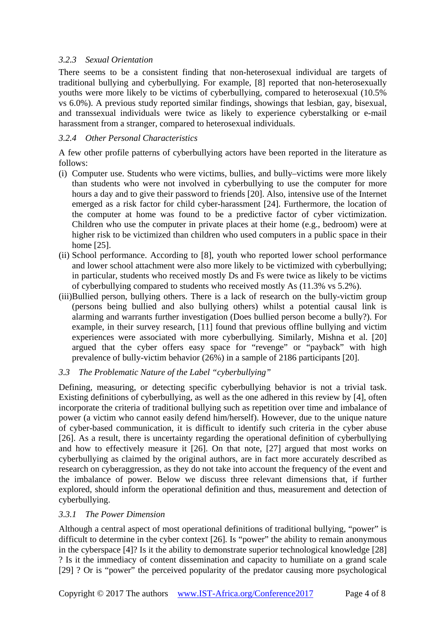#### *3.2.3 Sexual Orientation*

There seems to be a consistent finding that non-heterosexual individual are targets of traditional bullying and cyberbullying. For example, [8] reported that non-heterosexually youths were more likely to be victims of cyberbullying, compared to heterosexual (10.5% vs 6.0%). A previous study reported similar findings, showings that lesbian, gay, bisexual, and transsexual individuals were twice as likely to experience cyberstalking or e-mail harassment from a stranger, compared to heterosexual individuals.

#### *3.2.4 Other Personal Characteristics*

A few other profile patterns of cyberbullying actors have been reported in the literature as follows:

- (i) Computer use. Students who were victims, bullies, and bully–victims were more likely than students who were not involved in cyberbullying to use the computer for more hours a day and to give their password to friends [20]. Also, intensive use of the Internet emerged as a risk factor for child cyber-harassment [24]. Furthermore, the location of the computer at home was found to be a predictive factor of cyber victimization. Children who use the computer in private places at their home (e.g., bedroom) were at higher risk to be victimized than children who used computers in a public space in their home [25].
- (ii) School performance. According to [8], youth who reported lower school performance and lower school attachment were also more likely to be victimized with cyberbullying; in particular, students who received mostly Ds and Fs were twice as likely to be victims of cyberbullying compared to students who received mostly As (11.3% vs 5.2%).
- (iii)Bullied person, bullying others. There is a lack of research on the bully-victim group (persons being bullied and also bullying others) whilst a potential causal link is alarming and warrants further investigation (Does bullied person become a bully?). For example, in their survey research, [11] found that previous offline bullying and victim experiences were associated with more cyberbullying. Similarly, Mishna et al. [20] argued that the cyber offers easy space for "revenge" or "payback" with high prevalence of bully-victim behavior (26%) in a sample of 2186 participants [20].
- *3.3 The Problematic Nature of the Label "cyberbullying"*

Defining, measuring, or detecting specific cyberbullying behavior is not a trivial task. Existing definitions of cyberbullying, as well as the one adhered in this review by [4], often incorporate the criteria of traditional bullying such as repetition over time and imbalance of power (a victim who cannot easily defend him/herself). However, due to the unique nature of cyber-based communication, it is difficult to identify such criteria in the cyber abuse [26]. As a result, there is uncertainty regarding the operational definition of cyberbullying and how to effectively measure it [26]. On that note, [27] argued that most works on cyberbullying as claimed by the original authors, are in fact more accurately described as research on cyberaggression, as they do not take into account the frequency of the event and the imbalance of power. Below we discuss three relevant dimensions that, if further explored, should inform the operational definition and thus, measurement and detection of cyberbullying.

#### *3.3.1 The Power Dimension*

Although a central aspect of most operational definitions of traditional bullying, "power" is difficult to determine in the cyber context [26]. Is "power" the ability to remain anonymous in the cyberspace [4]? Is it the ability to demonstrate superior technological knowledge [28] ? Is it the immediacy of content dissemination and capacity to humiliate on a grand scale [29] ? Or is "power" the perceived popularity of the predator causing more psychological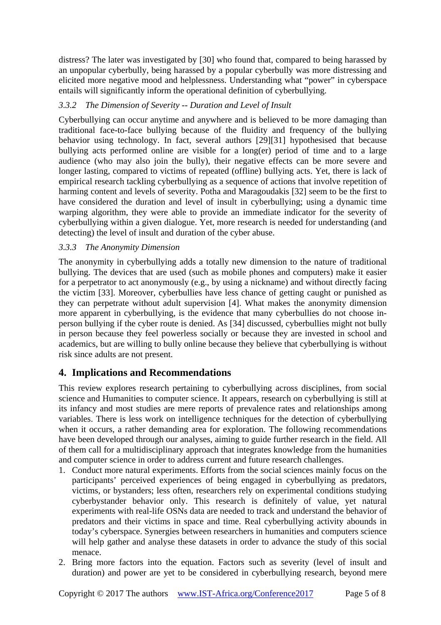distress? The later was investigated by [30] who found that, compared to being harassed by an unpopular cyberbully, being harassed by a popular cyberbully was more distressing and elicited more negative mood and helplessness. Understanding what "power" in cyberspace entails will significantly inform the operational definition of cyberbullying.

## *3.3.2 The Dimension of Severity -- Duration and Level of Insult*

Cyberbullying can occur anytime and anywhere and is believed to be more damaging than traditional face-to-face bullying because of the fluidity and frequency of the bullying behavior using technology. In fact, several authors [29][31] hypothesised that because bullying acts performed online are visible for a long(er) period of time and to a large audience (who may also join the bully), their negative effects can be more severe and longer lasting, compared to victims of repeated (offline) bullying acts. Yet, there is lack of empirical research tackling cyberbullying as a sequence of actions that involve repetition of harming content and levels of severity. Potha and Maragoudakis [32] seem to be the first to have considered the duration and level of insult in cyberbullying; using a dynamic time warping algorithm, they were able to provide an immediate indicator for the severity of cyberbullying within a given dialogue. Yet, more research is needed for understanding (and detecting) the level of insult and duration of the cyber abuse.

## *3.3.3 The Anonymity Dimension*

The anonymity in cyberbullying adds a totally new dimension to the nature of traditional bullying. The devices that are used (such as mobile phones and computers) make it easier for a perpetrator to act anonymously (e.g., by using a nickname) and without directly facing the victim [33]. Moreover, cyberbullies have less chance of getting caught or punished as they can perpetrate without adult supervision [4]. What makes the anonymity dimension more apparent in cyberbullying, is the evidence that many cyberbullies do not choose inperson bullying if the cyber route is denied. As [34] discussed, cyberbullies might not bully in person because they feel powerless socially or because they are invested in school and academics, but are willing to bully online because they believe that cyberbullying is without risk since adults are not present.

# **4. Implications and Recommendations**

This review explores research pertaining to cyberbullying across disciplines, from social science and Humanities to computer science. It appears, research on cyberbullying is still at its infancy and most studies are mere reports of prevalence rates and relationships among variables. There is less work on intelligence techniques for the detection of cyberbullying when it occurs, a rather demanding area for exploration. The following recommendations have been developed through our analyses, aiming to guide further research in the field. All of them call for a multidisciplinary approach that integrates knowledge from the humanities and computer science in order to address current and future research challenges.

- 1. Conduct more natural experiments. Efforts from the social sciences mainly focus on the participants' perceived experiences of being engaged in cyberbullying as predators, victims, or bystanders; less often, researchers rely on experimental conditions studying cyberbystander behavior only. This research is definitely of value, yet natural experiments with real-life OSNs data are needed to track and understand the behavior of predators and their victims in space and time. Real cyberbullying activity abounds in today's cyberspace. Synergies between researchers in humanities and computers science will help gather and analyse these datasets in order to advance the study of this social menace.
- 2. Bring more factors into the equation. Factors such as severity (level of insult and duration) and power are yet to be considered in cyberbullying research, beyond mere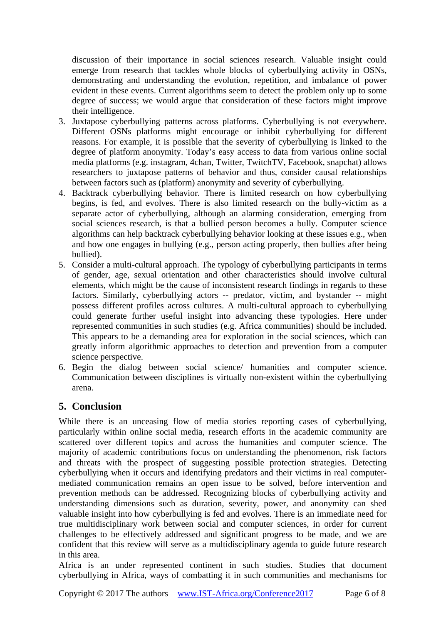discussion of their importance in social sciences research. Valuable insight could emerge from research that tackles whole blocks of cyberbullying activity in OSNs, demonstrating and understanding the evolution, repetition, and imbalance of power evident in these events. Current algorithms seem to detect the problem only up to some degree of success; we would argue that consideration of these factors might improve their intelligence.

- 3. Juxtapose cyberbullying patterns across platforms. Cyberbullying is not everywhere. Different OSNs platforms might encourage or inhibit cyberbullying for different reasons. For example, it is possible that the severity of cyberbullying is linked to the degree of platform anonymity. Today's easy access to data from various online social media platforms (e.g. instagram, 4chan, Twitter, TwitchTV, Facebook, snapchat) allows researchers to juxtapose patterns of behavior and thus, consider causal relationships between factors such as (platform) anonymity and severity of cyberbullying.
- 4. Backtrack cyberbullying behavior. There is limited research on how cyberbullying begins, is fed, and evolves. There is also limited research on the bully-victim as a separate actor of cyberbullying, although an alarming consideration, emerging from social sciences research, is that a bullied person becomes a bully. Computer science algorithms can help backtrack cyberbullying behavior looking at these issues e.g., when and how one engages in bullying (e.g., person acting properly, then bullies after being bullied).
- 5. Consider a multi-cultural approach. The typology of cyberbullying participants in terms of gender, age, sexual orientation and other characteristics should involve cultural elements, which might be the cause of inconsistent research findings in regards to these factors. Similarly, cyberbullying actors -- predator, victim, and bystander -- might possess different profiles across cultures. A multi-cultural approach to cyberbullying could generate further useful insight into advancing these typologies. Here under represented communities in such studies (e.g. Africa communities) should be included. This appears to be a demanding area for exploration in the social sciences, which can greatly inform algorithmic approaches to detection and prevention from a computer science perspective.
- 6. Begin the dialog between social science/ humanities and computer science. Communication between disciplines is virtually non-existent within the cyberbullying arena.

## **5. Conclusion**

While there is an unceasing flow of media stories reporting cases of cyberbullying, particularly within online social media, research efforts in the academic community are scattered over different topics and across the humanities and computer science. The majority of academic contributions focus on understanding the phenomenon, risk factors and threats with the prospect of suggesting possible protection strategies. Detecting cyberbullying when it occurs and identifying predators and their victims in real computermediated communication remains an open issue to be solved, before intervention and prevention methods can be addressed. Recognizing blocks of cyberbullying activity and understanding dimensions such as duration, severity, power, and anonymity can shed valuable insight into how cyberbullying is fed and evolves. There is an immediate need for true multidisciplinary work between social and computer sciences, in order for current challenges to be effectively addressed and significant progress to be made, and we are confident that this review will serve as a multidisciplinary agenda to guide future research in this area.

Africa is an under represented continent in such studies. Studies that document cyberbullying in Africa, ways of combatting it in such communities and mechanisms for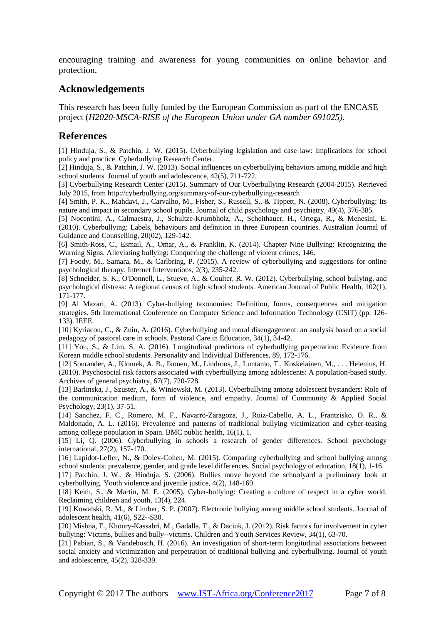encouraging training and awareness for young communities on online behavior and protection.

## **Acknowledgements**

This research has been fully funded by the European Commission as part of the ENCASE project (*H2020-MSCA-RISE of the European Union under GA number 691025).* 

#### **References**

[1] Hinduja, S., & Patchin, J. W. (2015). Cyberbullying legislation and case law: Implications for school policy and practice. Cyberbullying Research Center.

[2] Hinduja, S., & Patchin, J. W. (2013). Social influences on cyberbullying behaviors among middle and high school students. Journal of youth and adolescence, 42(5), 711-722.

[3] Cyberbullying Research Center (2015). Summary of Our Cyberbullying Research (2004-2015). Retrieved July 2015, from http://cyberbullying.org/summary-of-our-cyberbullying-research

[4] Smith, P. K., Mahdavi, J., Carvalho, M., Fisher, S., Russell, S., & Tippett, N. (2008). Cyberbullying: Its nature and impact in secondary school pupils. Journal of child psychology and psychiatry, 49(4), 376-385.

[5] Nocentini, A., Calmaestra, J., Schultze-Krumbholz, A., Scheithauer, H., Ortega, R., & Menesini, E. (2010). Cyberbullying: Labels, behaviours and definition in three European countries. Australian Journal of Guidance and Counselling, 20(02), 129-142.

[6] Smith-Ross, C., Esmail, A., Omar, A., & Franklin, K. (2014). Chapter Nine Bullying: Recognizing the Warning Signs. Alleviating bullying: Conquering the challenge of violent crimes, 146.

[7] Foody, M., Samara, M., & Carlbring, P. (2015). A review of cyberbullying and suggestions for online psychological therapy. Internet Interventions, 2(3), 235-242.

[8] Schneider, S. K., O'Donnell, L., Stueve, A., & Coulter, R. W. (2012). Cyberbullying, school bullying, and psychological distress: A regional census of high school students. American Journal of Public Health, 102(1), 171-177.

[9] Al Mazari, A. (2013). Cyber-bullying taxonomies: Definition, forms, consequences and mitigation strategies. 5th International Conference on Computer Science and Information Technology (CSIT) (pp. 126- 133). IEEE.

[10] Kyriacou, C., & Zuin, A. (2016). Cyberbullying and moral disengagement: an analysis based on a social pedagogy of pastoral care in schools. Pastoral Care in Education, 34(1), 34-42.

[11] You, S., & Lim, S. A. (2016). Longitudinal predictors of cyberbullying perpetration: Evidence from Korean middle school students. Personality and Individual Differences, 89, 172-176.

[12] Sourander, A., Klomek, A. B., Ikonen, M., Lindroos, J., Luntamo, T., Koskelainen, M., . . . Helenius, H. (2010). Psychosocial risk factors associated with cyberbullying among adolescents: A population-based study. Archives of general psychiatry, 67(7), 720-728.

[13] Barlinska, J., Szuster, A., & Winiewski, M. (2013). Cyberbullying among adolescent bystanders: Role of the communication medium, form of violence, and empathy. Journal of Community & Applied Social Psychology, 23(1), 37-51.

[14] Sanchez, F. C., Romero, M. F., Navarro-Zaragoza, J., Ruiz-Cabello, A. L., Frantzisko, O. R., & Maldonado, A. L. (2016). Prevalence and patterns of traditional bullying victimization and cyber-teasing among college population in Spain. BMC public health, 16(1), 1.

[15] Li, Q. (2006). Cyberbullying in schools a research of gender differences. School psychology international, 27(2), 157-170.

[16] Lapidot-Lefler, N., & Dolev-Cohen, M. (2015). Comparing cyberbullying and school bullying among school students: prevalence, gender, and grade level differences. Social psychology of education, 18(1), 1-16.

[17] Patchin, J. W., & Hinduja, S. (2006). Bullies move beyond the schoolyard a preliminary look at cyberbullying. Youth violence and juvenile justice, 4(2), 148-169.

[18] Keith, S., & Martin, M. E. (2005). Cyber-bullying: Creating a culture of respect in a cyber world. Reclaiming children and youth, 13(4), 224.

[19] Kowalski, R. M., & Limber, S. P. (2007). Electronic bullying among middle school students. Journal of adolescent health, 41(6), S22--S30.

[20] Mishna, F., Khoury-Kassabri, M., Gadalla, T., & Daciuk, J. (2012). Risk factors for involvement in cyber bullying: Victims, bullies and bully--victims. Children and Youth Services Review, 34(1), 63-70.

[21] Pabian, S., & Vandebosch, H. (2016). An investigation of short-term longitudinal associations between social anxiety and victimization and perpetration of traditional bullying and cyberbullying. Journal of youth and adolescence, 45(2), 328-339.